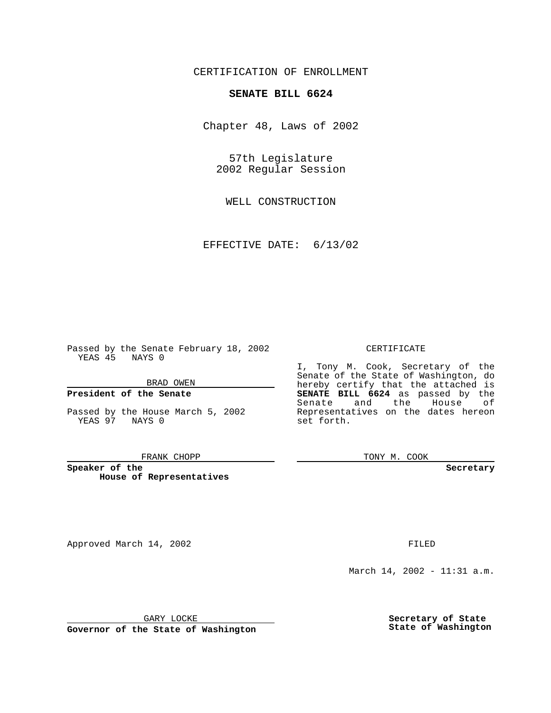CERTIFICATION OF ENROLLMENT

# **SENATE BILL 6624**

Chapter 48, Laws of 2002

57th Legislature 2002 Regular Session

WELL CONSTRUCTION

EFFECTIVE DATE: 6/13/02

Passed by the Senate February 18, 2002 YEAS 45 NAYS 0

BRAD OWEN

### **President of the Senate**

Passed by the House March 5, 2002 YEAS 97 NAYS 0

#### FRANK CHOPP

**Speaker of the House of Representatives**

Approved March 14, 2002 **FILED** 

### CERTIFICATE

I, Tony M. Cook, Secretary of the Senate of the State of Washington, do hereby certify that the attached is **SENATE BILL 6624** as passed by the Senate and the House of Representatives on the dates hereon set forth.

TONY M. COOK

**Secretary**

March 14, 2002 - 11:31 a.m.

GARY LOCKE

**Governor of the State of Washington**

**Secretary of State State of Washington**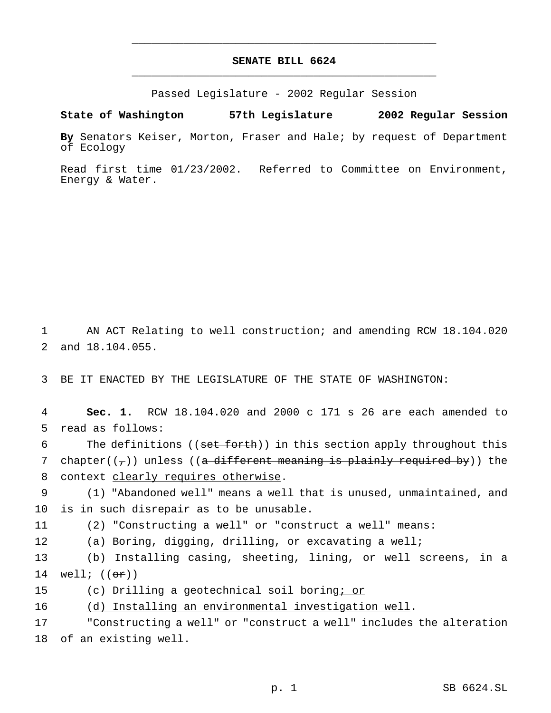# **SENATE BILL 6624** \_\_\_\_\_\_\_\_\_\_\_\_\_\_\_\_\_\_\_\_\_\_\_\_\_\_\_\_\_\_\_\_\_\_\_\_\_\_\_\_\_\_\_\_\_\_\_

\_\_\_\_\_\_\_\_\_\_\_\_\_\_\_\_\_\_\_\_\_\_\_\_\_\_\_\_\_\_\_\_\_\_\_\_\_\_\_\_\_\_\_\_\_\_\_

Passed Legislature - 2002 Regular Session

**State of Washington 57th Legislature 2002 Regular Session**

**By** Senators Keiser, Morton, Fraser and Hale; by request of Department of Ecology

Read first time 01/23/2002. Referred to Committee on Environment, Energy & Water.

1 AN ACT Relating to well construction; and amending RCW 18.104.020 2 and 18.104.055.

3 BE IT ENACTED BY THE LEGISLATURE OF THE STATE OF WASHINGTON:

4 **Sec. 1.** RCW 18.104.020 and 2000 c 171 s 26 are each amended to 5 read as follows:

6 The definitions ((set forth)) in this section apply throughout this 7 chapter( $(\tau)$ ) unless ((a different meaning is plainly required by)) the 8 context clearly requires otherwise.

9 (1) "Abandoned well" means a well that is unused, unmaintained, and 10 is in such disrepair as to be unusable.

11 (2) "Constructing a well" or "construct a well" means:

12 (a) Boring, digging, drilling, or excavating a well;

13 (b) Installing casing, sheeting, lining, or well screens, in a 14 well;  $((or))$ 

15 (c) Drilling a geotechnical soil boring; or

16 (d) Installing an environmental investigation well.

17 "Constructing a well" or "construct a well" includes the alteration 18 of an existing well.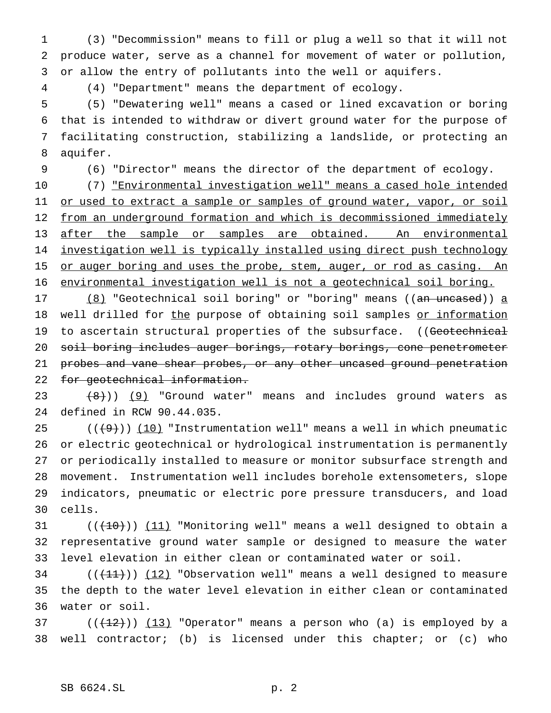(3) "Decommission" means to fill or plug a well so that it will not produce water, serve as a channel for movement of water or pollution, or allow the entry of pollutants into the well or aquifers.

(4) "Department" means the department of ecology.

 (5) "Dewatering well" means a cased or lined excavation or boring that is intended to withdraw or divert ground water for the purpose of facilitating construction, stabilizing a landslide, or protecting an aquifer.

(6) "Director" means the director of the department of ecology.

 (7) "Environmental investigation well" means a cased hole intended 11 or used to extract a sample or samples of ground water, vapor, or soil 12 from an underground formation and which is decommissioned immediately 13 after the sample or samples are obtained. An environmental investigation well is typically installed using direct push technology 15 or auger boring and uses the probe, stem, auger, or rod as casing. An environmental investigation well is not a geotechnical soil boring.

17 (8) "Geotechnical soil boring" or "boring" means ((an uncased)) a 18 well drilled for the purpose of obtaining soil samples or information 19 to ascertain structural properties of the subsurface. ((Geotechnical soil boring includes auger borings, rotary borings, cone penetrometer 21 probes and vane shear probes, or any other uncased ground penetration 22 for geotechnical information.

 $(8)$  (9) "Ground water" means and includes ground waters as defined in RCW 90.44.035.

 $((+9))$  (10) "Instrumentation well" means a well in which pneumatic or electric geotechnical or hydrological instrumentation is permanently or periodically installed to measure or monitor subsurface strength and movement. Instrumentation well includes borehole extensometers, slope indicators, pneumatic or electric pore pressure transducers, and load cells.

31  $((+10))$   $(11)$  "Monitoring well" means a well designed to obtain a representative ground water sample or designed to measure the water level elevation in either clean or contaminated water or soil.

34  $((+11))$   $(12)$  "Observation well" means a well designed to measure the depth to the water level elevation in either clean or contaminated water or soil.

37 ( $(\frac{12}{12})$ ) (13) "Operator" means a person who (a) is employed by a well contractor; (b) is licensed under this chapter; or (c) who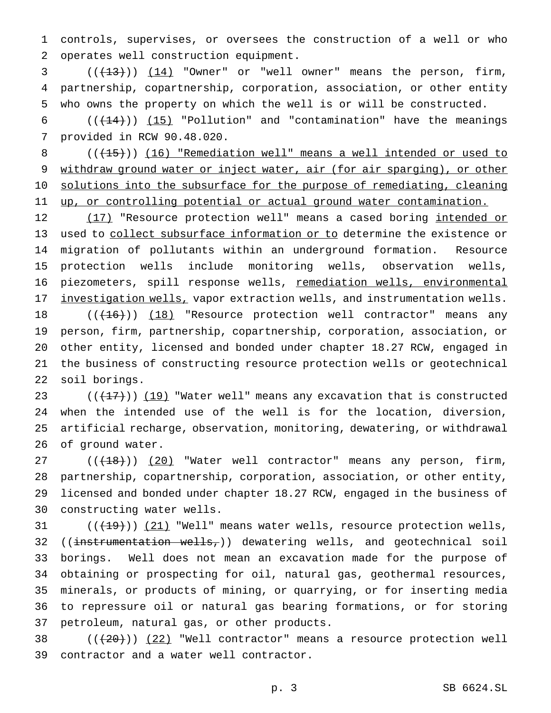1 controls, supervises, or oversees the construction of a well or who 2 operates well construction equipment.

 $(1,13)$  ( $(1,13)$ ) ( $1,14$ ) "Owner" or "well owner" means the person, firm, 4 partnership, copartnership, corporation, association, or other entity 5 who owns the property on which the well is or will be constructed.

6  $((+14))$   $(15)$  "Pollution" and "contamination" have the meanings 7 provided in RCW 90.48.020.

8 (( $(15)$ )) (16) "Remediation well" means a well intended or used to 9 withdraw ground water or inject water, air (for air sparging), or other 10 solutions into the subsurface for the purpose of remediating, cleaning 11 up, or controlling potential or actual ground water contamination.

12 (17) "Resource protection well" means a cased boring intended or 13 used to collect subsurface information or to determine the existence or 14 migration of pollutants within an underground formation. Resource 15 protection wells include monitoring wells, observation wells, 16 piezometers, spill response wells, remediation wells, environmental 17 investigation wells, vapor extraction wells, and instrumentation wells.

18 ((<del>(16)</del>)) (18) "Resource protection well contractor" means any person, firm, partnership, copartnership, corporation, association, or other entity, licensed and bonded under chapter 18.27 RCW, engaged in the business of constructing resource protection wells or geotechnical soil borings.

 $((+17))$   $(19)$  "Water well" means any excavation that is constructed when the intended use of the well is for the location, diversion, artificial recharge, observation, monitoring, dewatering, or withdrawal of ground water.

27 (( $(18)$ )) (20) "Water well contractor" means any person, firm, partnership, copartnership, corporation, association, or other entity, licensed and bonded under chapter 18.27 RCW, engaged in the business of constructing water wells.

 $((+19))$  (21) "Well" means water wells, resource protection wells, 32 ((instrumentation wells,)) dewatering wells, and geotechnical soil borings. Well does not mean an excavation made for the purpose of obtaining or prospecting for oil, natural gas, geothermal resources, minerals, or products of mining, or quarrying, or for inserting media to repressure oil or natural gas bearing formations, or for storing petroleum, natural gas, or other products.

38  $((+20))$   $(22)$  "Well contractor" means a resource protection well 39 contractor and a water well contractor.